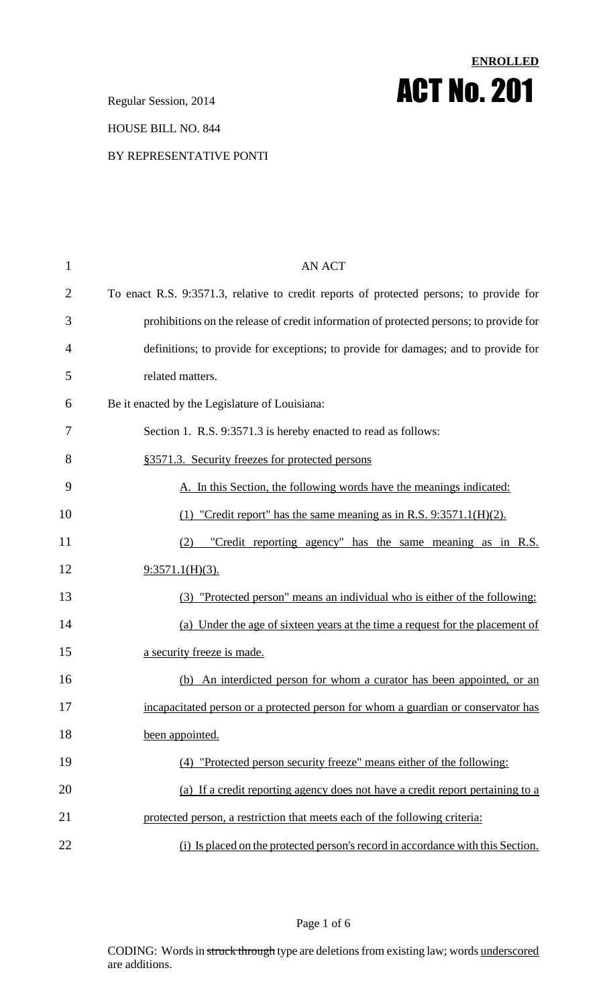Regular Session, 2014 **ACT No. 201**

#### HOUSE BILL NO. 844

#### BY REPRESENTATIVE PONTI

| $\mathbf{1}$   | <b>AN ACT</b>                                                                           |  |  |
|----------------|-----------------------------------------------------------------------------------------|--|--|
| $\overline{2}$ | To enact R.S. 9:3571.3, relative to credit reports of protected persons; to provide for |  |  |
| 3              | prohibitions on the release of credit information of protected persons; to provide for  |  |  |
| 4              | definitions; to provide for exceptions; to provide for damages; and to provide for      |  |  |
| 5              | related matters.                                                                        |  |  |
| 6              | Be it enacted by the Legislature of Louisiana:                                          |  |  |
| 7              | Section 1. R.S. 9:3571.3 is hereby enacted to read as follows:                          |  |  |
| 8              | §3571.3. Security freezes for protected persons                                         |  |  |
| 9              | A. In this Section, the following words have the meanings indicated:                    |  |  |
| 10             | $(1)$ "Credit report" has the same meaning as in R.S. 9:3571.1(H)(2).                   |  |  |
| 11             | "Credit reporting agency" has the same meaning as in R.S.<br>(2)                        |  |  |
| 12             | $9:3571.1(H)(3)$ .                                                                      |  |  |
| 13             | (3) "Protected person" means an individual who is either of the following:              |  |  |
| 14             | (a) Under the age of sixteen years at the time a request for the placement of           |  |  |
| 15             | a security freeze is made.                                                              |  |  |
| 16             | (b) An interdicted person for whom a curator has been appointed, or an                  |  |  |
| 17             | incapacitated person or a protected person for whom a guardian or conservator has       |  |  |
| 18             | been appointed.                                                                         |  |  |
| 19             | (4) "Protected person security freeze" means either of the following:                   |  |  |
| 20             | (a) If a credit reporting agency does not have a credit report pertaining to a          |  |  |
| 21             | protected person, a restriction that meets each of the following criteria:              |  |  |
| 22             | (i) Is placed on the protected person's record in accordance with this Section.         |  |  |

**ENROLLED**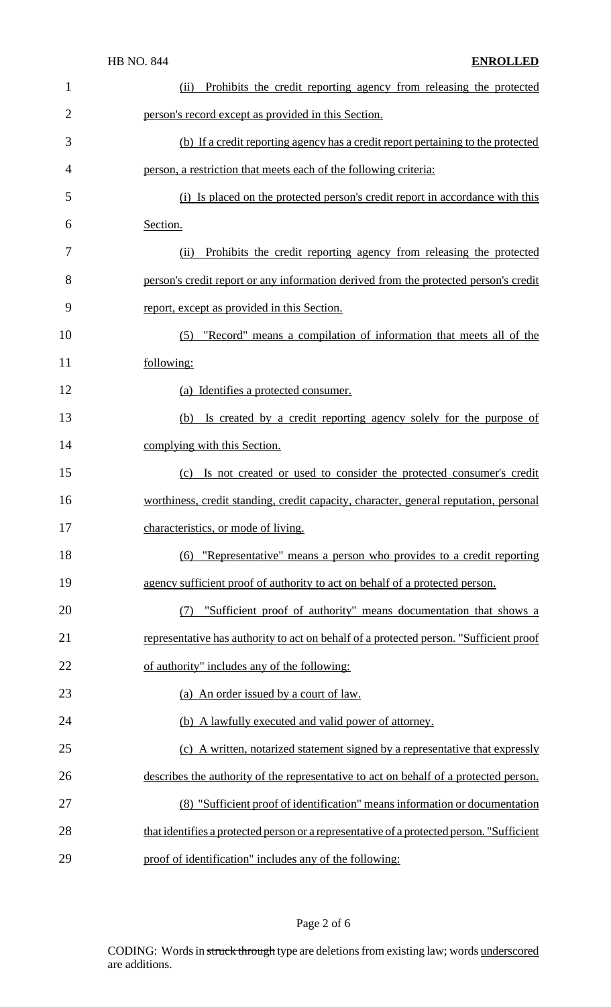| 1              | Prohibits the credit reporting agency from releasing the protected<br>(ii)                |  |  |
|----------------|-------------------------------------------------------------------------------------------|--|--|
| $\overline{2}$ | person's record except as provided in this Section.                                       |  |  |
| 3              | (b) If a credit reporting agency has a credit report pertaining to the protected          |  |  |
| 4              | person, a restriction that meets each of the following criteria:                          |  |  |
| 5              | (i) Is placed on the protected person's credit report in accordance with this             |  |  |
| 6              | Section.                                                                                  |  |  |
| 7              | Prohibits the credit reporting agency from releasing the protected<br>(ii)                |  |  |
| 8              | person's credit report or any information derived from the protected person's credit      |  |  |
| 9              | report, except as provided in this Section.                                               |  |  |
| 10             | (5) "Record" means a compilation of information that meets all of the                     |  |  |
| 11             | following:                                                                                |  |  |
| 12             | (a) Identifies a protected consumer.                                                      |  |  |
| 13             | Is created by a credit reporting agency solely for the purpose of<br>(b)                  |  |  |
| 14             | complying with this Section.                                                              |  |  |
| 15             | Is not created or used to consider the protected consumer's credit<br>(c)                 |  |  |
| 16             | worthiness, credit standing, credit capacity, character, general reputation, personal     |  |  |
| 17             | characteristics, or mode of living.                                                       |  |  |
| 18             | "Representative" means a person who provides to a credit reporting<br>(6)                 |  |  |
| 19             | agency sufficient proof of authority to act on behalf of a protected person.              |  |  |
| 20             | "Sufficient proof of authority" means documentation that shows a<br>(7)                   |  |  |
| 21             | representative has authority to act on behalf of a protected person. "Sufficient proof    |  |  |
| 22             | of authority" includes any of the following:                                              |  |  |
| 23             | (a) An order issued by a court of law.                                                    |  |  |
| 24             | (b) A lawfully executed and valid power of attorney.                                      |  |  |
| 25             | (c) A written, notarized statement signed by a representative that expressly              |  |  |
| 26             | describes the authority of the representative to act on behalf of a protected person.     |  |  |
| 27             | (8) "Sufficient proof of identification" means information or documentation               |  |  |
| 28             | that identifies a protected person or a representative of a protected person. "Sufficient |  |  |
| 29             | proof of identification" includes any of the following:                                   |  |  |

# Page 2 of 6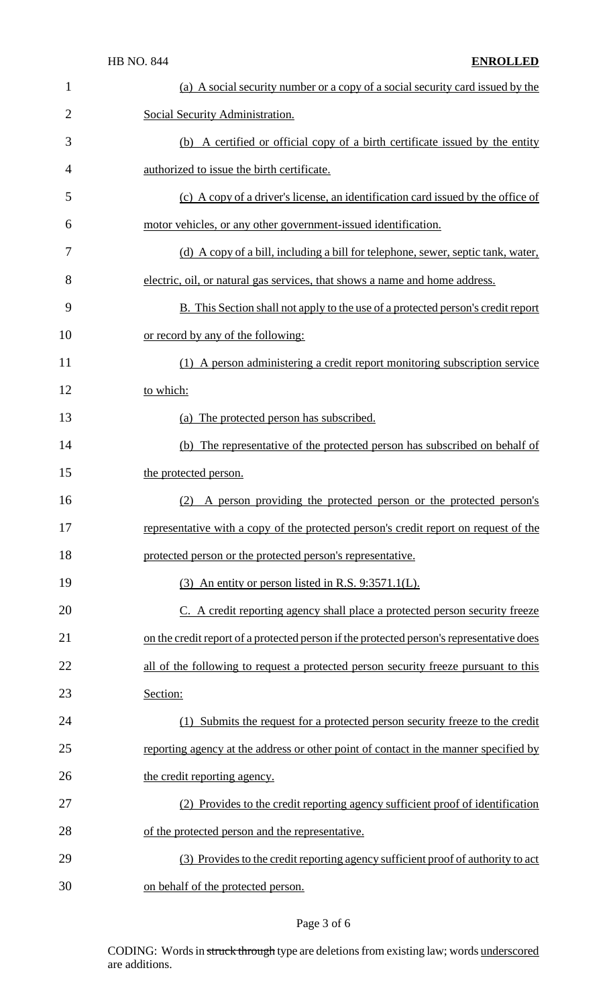| 1              | (a) A social security number or a copy of a social security card issued by the           |  |
|----------------|------------------------------------------------------------------------------------------|--|
| $\overline{2}$ | Social Security Administration.                                                          |  |
| 3              | (b) A certified or official copy of a birth certificate issued by the entity             |  |
| $\overline{4}$ | authorized to issue the birth certificate.                                               |  |
| 5              | (c) A copy of a driver's license, an identification card issued by the office of         |  |
| 6              | motor vehicles, or any other government-issued identification.                           |  |
| 7              | (d) A copy of a bill, including a bill for telephone, sewer, septic tank, water,         |  |
| 8              | electric, oil, or natural gas services, that shows a name and home address.              |  |
| 9              | B. This Section shall not apply to the use of a protected person's credit report         |  |
| 10             | or record by any of the following:                                                       |  |
| 11             | (1) A person administering a credit report monitoring subscription service               |  |
| 12             | to which:                                                                                |  |
| 13             | (a) The protected person has subscribed.                                                 |  |
| 14             | (b) The representative of the protected person has subscribed on behalf of               |  |
| 15             | the protected person.                                                                    |  |
| 16             | A person providing the protected person or the protected person's<br>(2)                 |  |
| 17             | representative with a copy of the protected person's credit report on request of the     |  |
| 18             | protected person or the protected person's representative.                               |  |
| 19             | (3) An entity or person listed in R.S. 9:3571.1(L).                                      |  |
| 20             | C. A credit reporting agency shall place a protected person security freeze              |  |
| 21             | on the credit report of a protected person if the protected person's representative does |  |
| 22             | all of the following to request a protected person security freeze pursuant to this      |  |
| 23             | Section:                                                                                 |  |
| 24             | (1) Submits the request for a protected person security freeze to the credit             |  |
| 25             | reporting agency at the address or other point of contact in the manner specified by     |  |
| 26             | the credit reporting agency.                                                             |  |
| 27             | (2) Provides to the credit reporting agency sufficient proof of identification           |  |
| 28             | of the protected person and the representative.                                          |  |
| 29             | (3) Provides to the credit reporting agency sufficient proof of authority to act         |  |
| 30             | on behalf of the protected person.                                                       |  |

# Page 3 of 6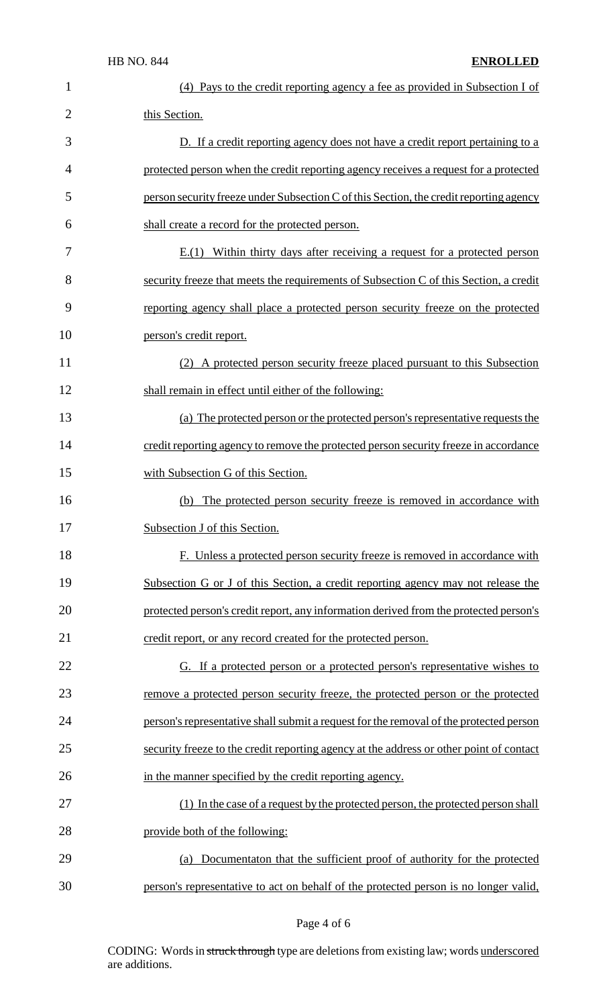| $\mathbf{1}$   | (4) Pays to the credit reporting agency a fee as provided in Subsection I of            |  |
|----------------|-----------------------------------------------------------------------------------------|--|
| $\overline{2}$ | this Section.                                                                           |  |
| 3              | D. If a credit reporting agency does not have a credit report pertaining to a           |  |
| $\overline{4}$ | protected person when the credit reporting agency receives a request for a protected    |  |
| 5              | person security freeze under Subsection C of this Section, the credit reporting agency  |  |
| 6              | shall create a record for the protected person.                                         |  |
| 7              | $E(1)$ Within thirty days after receiving a request for a protected person              |  |
| 8              | security freeze that meets the requirements of Subsection C of this Section, a credit   |  |
| 9              | reporting agency shall place a protected person security freeze on the protected        |  |
| 10             | person's credit report.                                                                 |  |
| 11             | (2) A protected person security freeze placed pursuant to this Subsection               |  |
| 12             | shall remain in effect until either of the following:                                   |  |
| 13             | (a) The protected person or the protected person's representative requests the          |  |
| 14             | credit reporting agency to remove the protected person security freeze in accordance    |  |
| 15             | with Subsection G of this Section.                                                      |  |
| 16             | (b) The protected person security freeze is removed in accordance with                  |  |
| 17             | Subsection J of this Section.                                                           |  |
| 18             | F. Unless a protected person security freeze is removed in accordance with              |  |
| 19             | Subsection G or J of this Section, a credit reporting agency may not release the        |  |
| 20             | protected person's credit report, any information derived from the protected person's   |  |
| 21             | credit report, or any record created for the protected person.                          |  |
| 22             | G. If a protected person or a protected person's representative wishes to               |  |
| 23             | remove a protected person security freeze, the protected person or the protected        |  |
| 24             | person's representative shall submit a request for the removal of the protected person  |  |
| 25             | security freeze to the credit reporting agency at the address or other point of contact |  |
| 26             | in the manner specified by the credit reporting agency.                                 |  |
| 27             | (1) In the case of a request by the protected person, the protected person shall        |  |
| 28             | provide both of the following:                                                          |  |
| 29             | Documentaton that the sufficient proof of authority for the protected<br>(a)            |  |
| 30             | person's representative to act on behalf of the protected person is no longer valid,    |  |

Page 4 of 6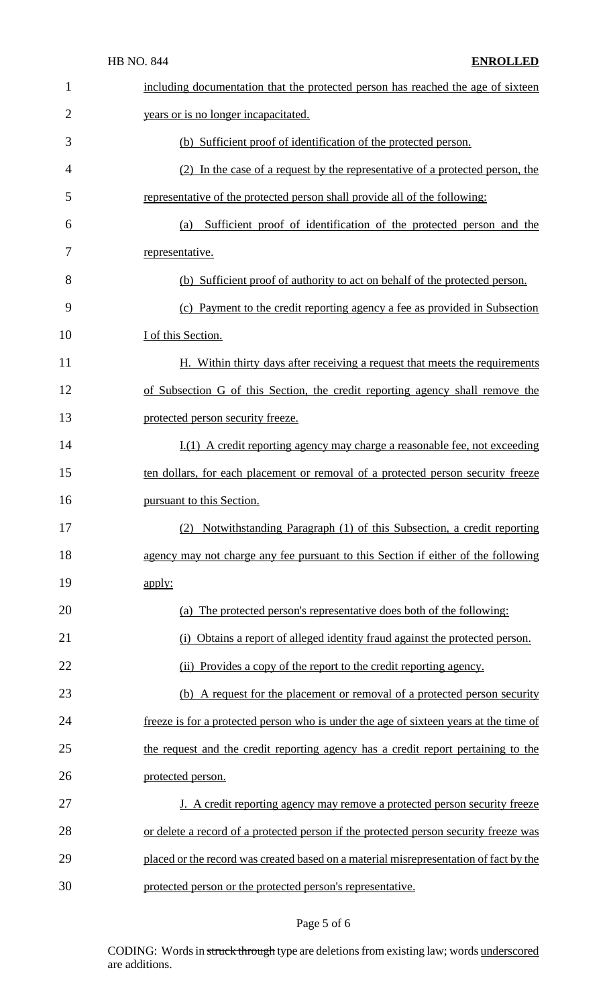| 1              | including documentation that the protected person has reached the age of sixteen      |  |  |
|----------------|---------------------------------------------------------------------------------------|--|--|
| $\overline{2}$ | years or is no longer incapacitated.                                                  |  |  |
| 3              | (b) Sufficient proof of identification of the protected person.                       |  |  |
| $\overline{4}$ | (2) In the case of a request by the representative of a protected person, the         |  |  |
| 5              | representative of the protected person shall provide all of the following:            |  |  |
| 6              | Sufficient proof of identification of the protected person and the<br>(a)             |  |  |
| 7              | representative.                                                                       |  |  |
| 8              | (b) Sufficient proof of authority to act on behalf of the protected person.           |  |  |
| 9              | (c) Payment to the credit reporting agency a fee as provided in Subsection            |  |  |
| 10             | I of this Section.                                                                    |  |  |
| 11             | H. Within thirty days after receiving a request that meets the requirements           |  |  |
| 12             | of Subsection G of this Section, the credit reporting agency shall remove the         |  |  |
| 13             | protected person security freeze.                                                     |  |  |
| 14             | $I(1)$ A credit reporting agency may charge a reasonable fee, not exceeding           |  |  |
| 15             | ten dollars, for each placement or removal of a protected person security freeze      |  |  |
| 16             | pursuant to this Section.                                                             |  |  |
| 17             | (2) Notwithstanding Paragraph (1) of this Subsection, a credit reporting              |  |  |
| 18             | agency may not charge any fee pursuant to this Section if either of the following     |  |  |
| 19             | apply:                                                                                |  |  |
| 20             | (a) The protected person's representative does both of the following:                 |  |  |
| 21             | Obtains a report of alleged identity fraud against the protected person.<br>(i)       |  |  |
| 22             | (ii) Provides a copy of the report to the credit reporting agency.                    |  |  |
| 23             | (b) A request for the placement or removal of a protected person security             |  |  |
| 24             | freeze is for a protected person who is under the age of sixteen years at the time of |  |  |
| 25             | the request and the credit reporting agency has a credit report pertaining to the     |  |  |
| 26             | protected person.                                                                     |  |  |
| 27             | J. A credit reporting agency may remove a protected person security freeze            |  |  |
| 28             | or delete a record of a protected person if the protected person security freeze was  |  |  |
| 29             | placed or the record was created based on a material misrepresentation of fact by the |  |  |
| 30             | protected person or the protected person's representative.                            |  |  |

# Page 5 of 6